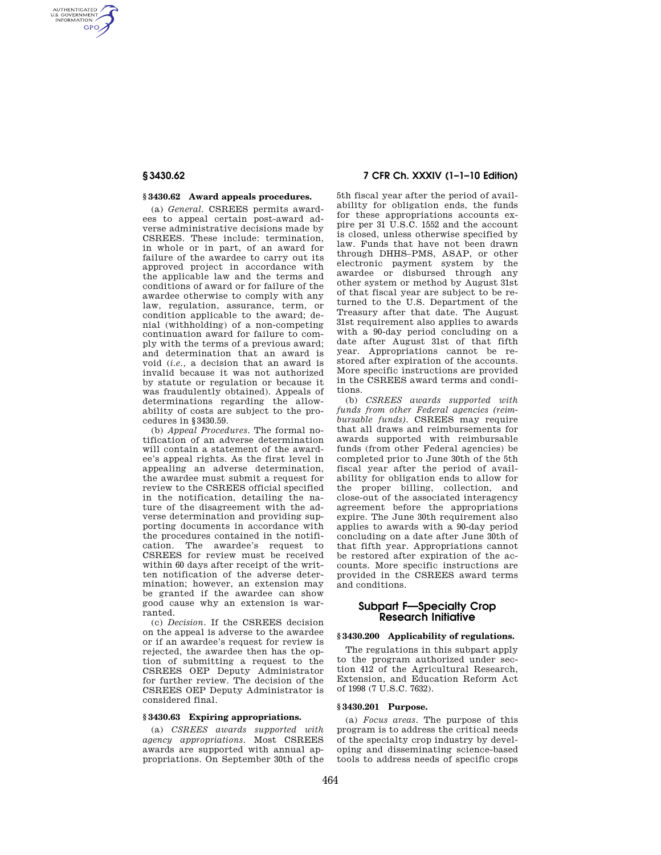AUTHENTICATED<br>U.S. GOVERNMENT<br>INFORMATION **GPO** 

#### **§ 3430.62 Award appeals procedures.**

(a) *General.* CSREES permits awardees to appeal certain post-award adverse administrative decisions made by CSREES. These include: termination, in whole or in part, of an award for failure of the awardee to carry out its approved project in accordance with the applicable law and the terms and conditions of award or for failure of the awardee otherwise to comply with any law, regulation, assurance, term, or condition applicable to the award; denial (withholding) of a non-competing continuation award for failure to comply with the terms of a previous award; and determination that an award is void (*i.e.,* a decision that an award is invalid because it was not authorized by statute or regulation or because it was fraudulently obtained). Appeals of determinations regarding the allowability of costs are subject to the procedures in §3430.59.

(b) *Appeal Procedures.* The formal notification of an adverse determination will contain a statement of the awardee's appeal rights. As the first level in appealing an adverse determination, the awardee must submit a request for review to the CSREES official specified in the notification, detailing the nature of the disagreement with the adverse determination and providing supporting documents in accordance with the procedures contained in the notification. The awardee's request to CSREES for review must be received within 60 days after receipt of the written notification of the adverse determination; however, an extension may be granted if the awardee can show good cause why an extension is warranted.

(c) *Decision.* If the CSREES decision on the appeal is adverse to the awardee or if an awardee's request for review is rejected, the awardee then has the option of submitting a request to the CSREES OEP Deputy Administrator for further review. The decision of the CSREES OEP Deputy Administrator is considered final.

### **§ 3430.63 Expiring appropriations.**

(a) *CSREES awards supported with agency appropriations.* Most CSREES awards are supported with annual appropriations. On September 30th of the

# **§ 3430.62 7 CFR Ch. XXXIV (1–1–10 Edition)**

5th fiscal year after the period of availability for obligation ends, the funds for these appropriations accounts expire per 31 U.S.C. 1552 and the account is closed, unless otherwise specified by law. Funds that have not been drawn through DHHS–PMS, ASAP, or other electronic payment system by the awardee or disbursed through any other system or method by August 31st of that fiscal year are subject to be returned to the U.S. Department of the Treasury after that date. The August 31st requirement also applies to awards with a 90-day period concluding on a date after August 31st of that fifth year. Appropriations cannot be restored after expiration of the accounts. More specific instructions are provided in the CSREES award terms and conditions.

(b) *CSREES awards supported with funds from other Federal agencies (reimbursable funds*). **CSREES** may require that all draws and reimbursements for awards supported with reimbursable funds (from other Federal agencies) be completed prior to June 30th of the 5th fiscal year after the period of availability for obligation ends to allow for the proper billing, collection, and close-out of the associated interagency agreement before the appropriations expire. The June 30th requirement also applies to awards with a 90-day period concluding on a date after June 30th of that fifth year. Appropriations cannot be restored after expiration of the accounts. More specific instructions are provided in the CSREES award terms and conditions.

## **Subpart F—Specialty Crop Research Initiative**

## **§ 3430.200 Applicability of regulations.**

The regulations in this subpart apply to the program authorized under section 412 of the Agricultural Research, Extension, and Education Reform Act of 1998 (7 U.S.C. 7632).

### **§ 3430.201 Purpose.**

(a) *Focus areas.* The purpose of this program is to address the critical needs of the specialty crop industry by developing and disseminating science-based tools to address needs of specific crops